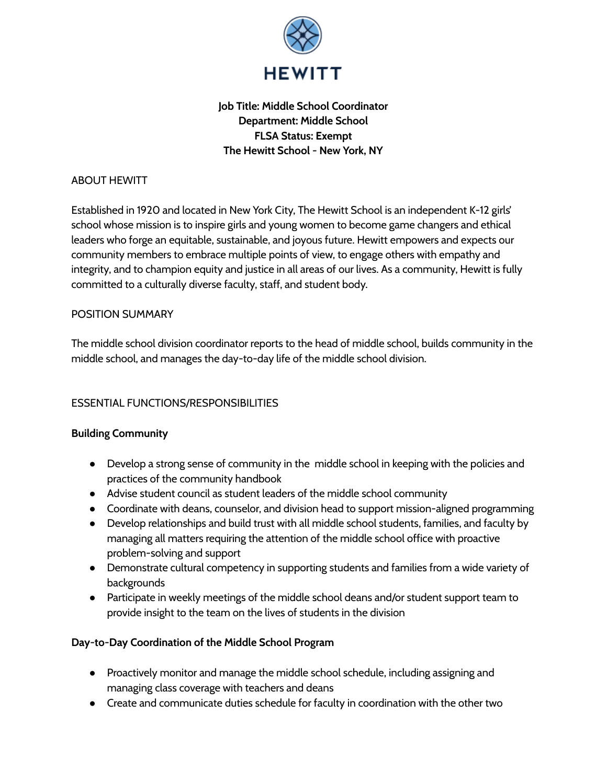

# **Job Title: Middle School Coordinator Department: Middle School FLSA Status: Exempt The Hewitt School - New York, NY**

### ABOUT HEWITT

Established in 1920 and located in New York City, The Hewitt School is an independent K-12 girls' school whose mission is to inspire girls and young women to become game changers and ethical leaders who forge an equitable, sustainable, and joyous future. Hewitt empowers and expects our community members to embrace multiple points of view, to engage others with empathy and integrity, and to champion equity and justice in all areas of our lives. As a community, Hewitt is fully committed to a culturally diverse faculty, staff, and student body.

### POSITION SUMMARY

The middle school division coordinator reports to the head of middle school, builds community in the middle school, and manages the day-to-day life of the middle school division.

## ESSENTIAL FUNCTIONS/RESPONSIBILITIES

### **Building Community**

- Develop a strong sense of community in the middle school in keeping with the policies and practices of the community handbook
- Advise student council as student leaders of the middle school community
- Coordinate with deans, counselor, and division head to support mission-aligned programming
- Develop relationships and build trust with all middle school students, families, and faculty by managing all matters requiring the attention of the middle school office with proactive problem-solving and support
- Demonstrate cultural competency in supporting students and families from a wide variety of backgrounds
- Participate in weekly meetings of the middle school deans and/or student support team to provide insight to the team on the lives of students in the division

### **Day-to-Day Coordination of the Middle School Program**

- Proactively monitor and manage the middle school schedule, including assigning and managing class coverage with teachers and deans
- Create and communicate duties schedule for faculty in coordination with the other two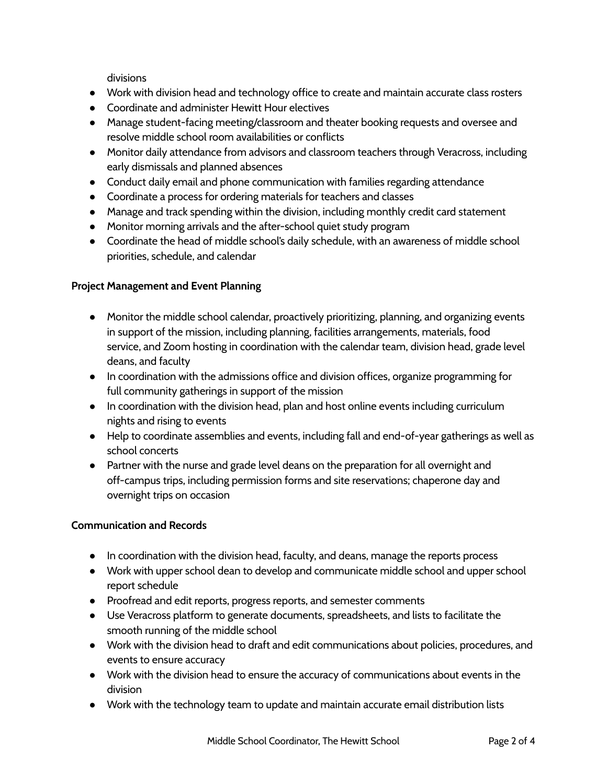divisions

- Work with division head and technology office to create and maintain accurate class rosters
- Coordinate and administer Hewitt Hour electives
- Manage student-facing meeting/classroom and theater booking requests and oversee and resolve middle school room availabilities or conflicts
- Monitor daily attendance from advisors and classroom teachers through Veracross, including early dismissals and planned absences
- Conduct daily email and phone communication with families regarding attendance
- Coordinate a process for ordering materials for teachers and classes
- Manage and track spending within the division, including monthly credit card statement
- Monitor morning arrivals and the after-school quiet study program
- Coordinate the head of middle school's daily schedule, with an awareness of middle school priorities, schedule, and calendar

## **Project Management and Event Planning**

- Monitor the middle school calendar, proactively prioritizing, planning, and organizing events in support of the mission, including planning, facilities arrangements, materials, food service, and Zoom hosting in coordination with the calendar team, division head, grade level deans, and faculty
- In coordination with the admissions office and division offices, organize programming for full community gatherings in support of the mission
- In coordination with the division head, plan and host online events including curriculum nights and rising to events
- Help to coordinate assemblies and events, including fall and end-of-year gatherings as well as school concerts
- Partner with the nurse and grade level deans on the preparation for all overnight and off-campus trips, including permission forms and site reservations; chaperone day and overnight trips on occasion

### **Communication and Records**

- In coordination with the division head, faculty, and deans, manage the reports process
- Work with upper school dean to develop and communicate middle school and upper school report schedule
- Proofread and edit reports, progress reports, and semester comments
- Use Veracross platform to generate documents, spreadsheets, and lists to facilitate the smooth running of the middle school
- Work with the division head to draft and edit communications about policies, procedures, and events to ensure accuracy
- Work with the division head to ensure the accuracy of communications about events in the division
- Work with the technology team to update and maintain accurate email distribution lists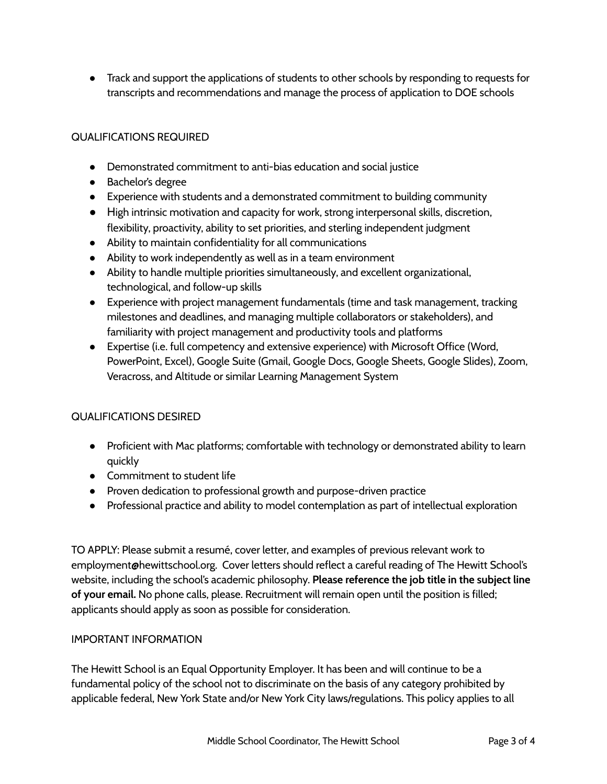● Track and support the applications of students to other schools by responding to requests for transcripts and recommendations and manage the process of application to DOE schools

### QUALIFICATIONS REQUIRED

- Demonstrated commitment to anti-bias education and social justice
- Bachelor's degree
- Experience with students and a demonstrated commitment to building community
- High intrinsic motivation and capacity for work, strong interpersonal skills, discretion, flexibility, proactivity, ability to set priorities, and sterling independent judgment
- Ability to maintain confidentiality for all communications
- Ability to work independently as well as in a team environment
- Ability to handle multiple priorities simultaneously, and excellent organizational, technological, and follow-up skills
- Experience with project management fundamentals (time and task management, tracking milestones and deadlines, and managing multiple collaborators or stakeholders), and familiarity with project management and productivity tools and platforms
- Expertise (i.e. full competency and extensive experience) with Microsoft Office (Word, PowerPoint, Excel), Google Suite (Gmail, Google Docs, Google Sheets, Google Slides), Zoom, Veracross, and Altitude or similar Learning Management System

## QUALIFICATIONS DESIRED

- Proficient with Mac platforms; comfortable with technology or demonstrated ability to learn quickly
- Commitment to student life
- Proven dedication to professional growth and purpose-driven practice
- Professional practice and ability to model contemplation as part of intellectual exploration

TO APPLY: Please submit a resumé, cover letter, and examples of previous relevant work to employment@hewittschool.org. Cover letters should reflect a careful reading of The Hewitt School's website, including the school's academic philosophy. **Please reference the job title in the subject line of your email.** No phone calls, please. Recruitment will remain open until the position is filled; applicants should apply as soon as possible for consideration.

### IMPORTANT INFORMATION

The Hewitt School is an Equal Opportunity Employer. It has been and will continue to be a fundamental policy of the school not to discriminate on the basis of any category prohibited by applicable federal, New York State and/or New York City laws/regulations. This policy applies to all